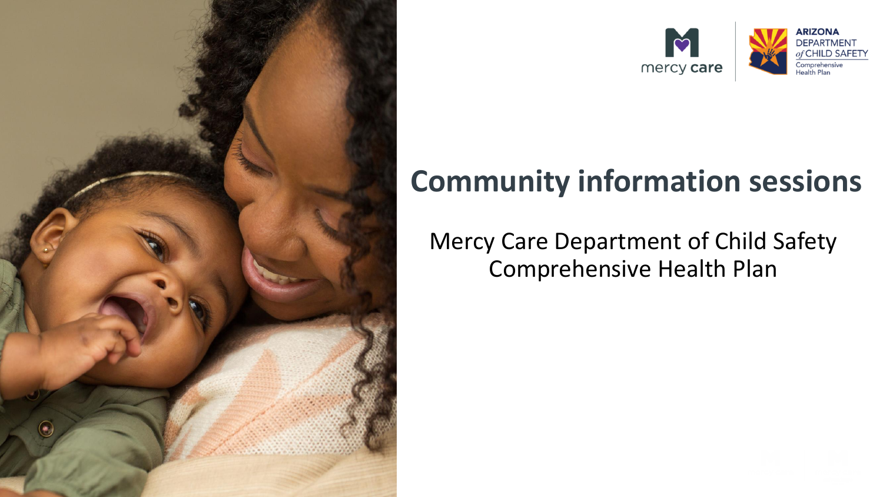



#### **Community information sessions**

#### Mercy Care Department of Child Safety Comprehensive Health Plan

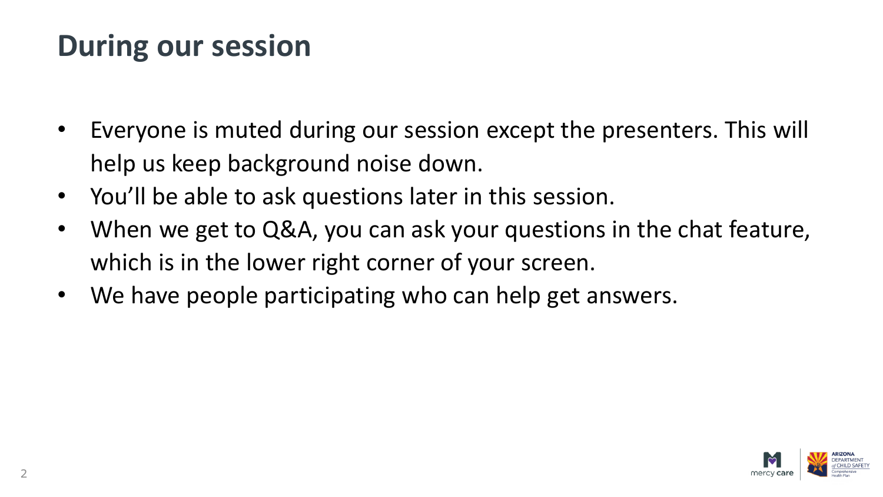#### **During our session**

- Everyone is muted during our session except the presenters. This will help us keep background noise down.
- You'll be able to ask questions later in this session.
- When we get to Q&A, you can ask your questions in the chat feature, which is in the lower right corner of your screen.
- We have people participating who can help get answers.

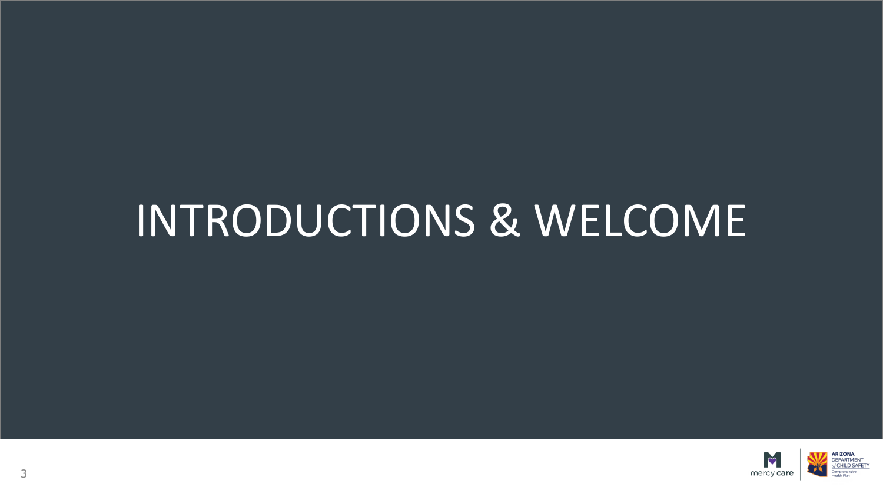# INTRODUCTIONS & WELCOME

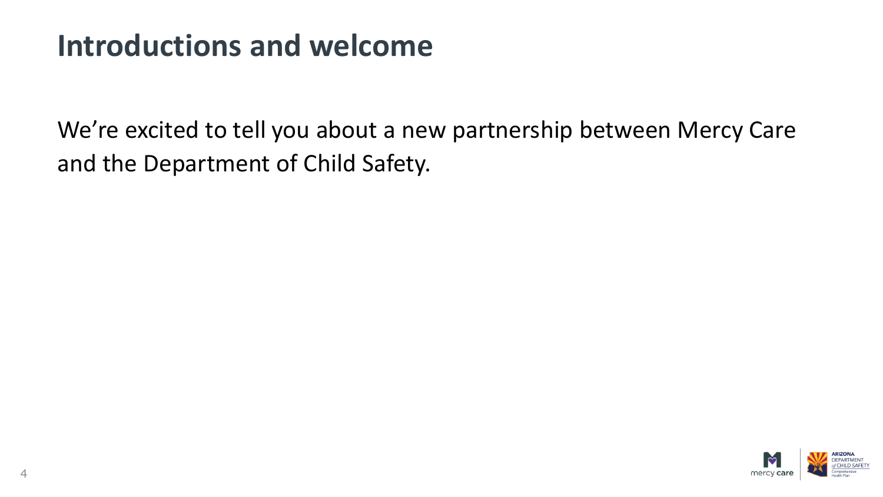#### **Introductions and welcome**

We're excited to tell you about a new partnership between Mercy Care and the Department of Child Safety.

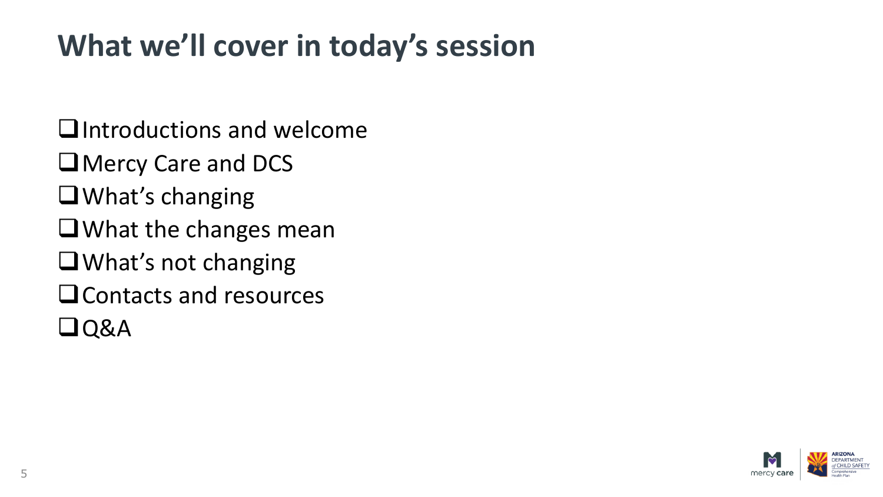### **What we'll cover in today's session**

- ❑Introductions and welcome
- ❑Mercy Care and DCS
- ❑What's changing
- ❑What the changes mean
- ❑What's not changing
- ❑Contacts and resources
- ❑Q&A

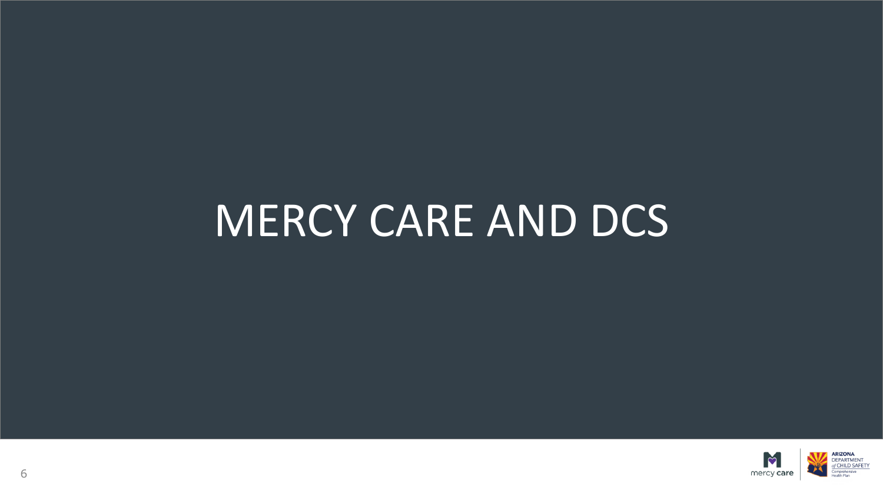# MERCY CARE AND DCS

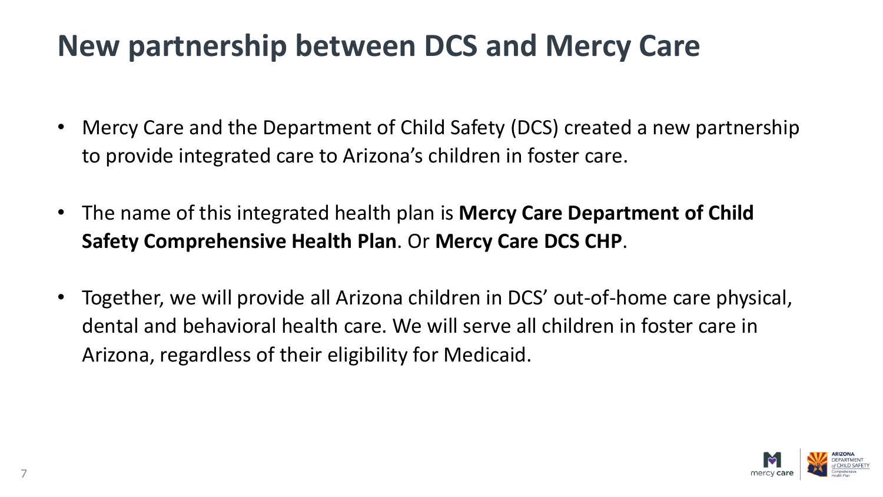#### **New partnership between DCS and Mercy Care**

- Mercy Care and the Department of Child Safety (DCS) created a new partnership to provide integrated care to Arizona's children in foster care.
- The name of this integrated health plan is **Mercy Care Department of Child Safety Comprehensive Health Plan**. Or **Mercy Care DCS CHP**.
- Together, we will provide all Arizona children in DCS' out-of-home care physical, dental and behavioral health care. We will serve all children in foster care in Arizona, regardless of their eligibility for Medicaid.

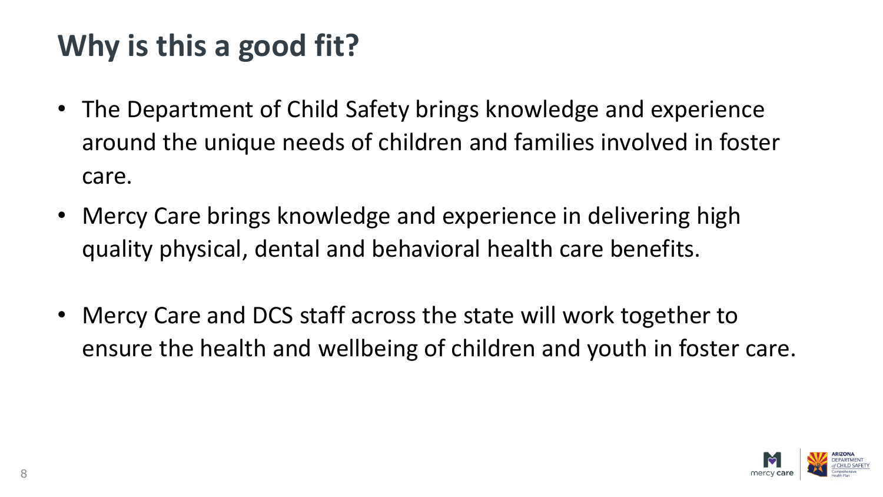# **Why is this a good fit?**

- The Department of Child Safety brings knowledge and experience around the unique needs of children and families involved in foster care.
- Mercy Care brings knowledge and experience in delivering high quality physical, dental and behavioral health care benefits.
- Mercy Care and DCS staff across the state will work together to ensure the health and wellbeing of children and youth in foster care.

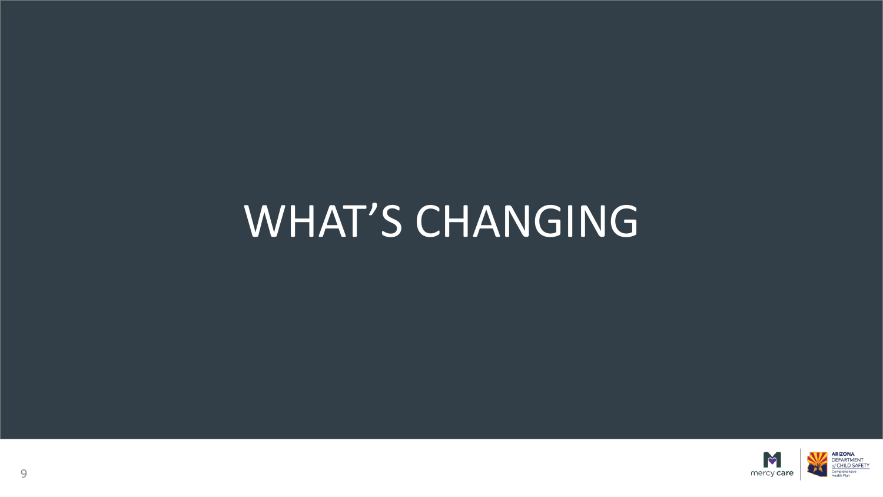# WHAT'S CHANGING

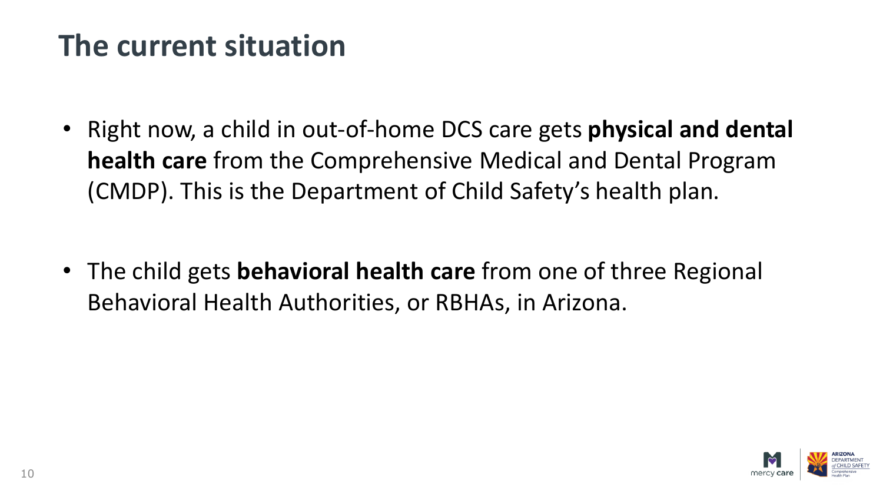#### **The current situation**

• Right now, a child in out-of-home DCS care gets **physical and dental health care** from the Comprehensive Medical and Dental Program (CMDP). This is the Department of Child Safety's health plan.

• The child gets **behavioral health care** from one of three Regional Behavioral Health Authorities, or RBHAs, in Arizona.

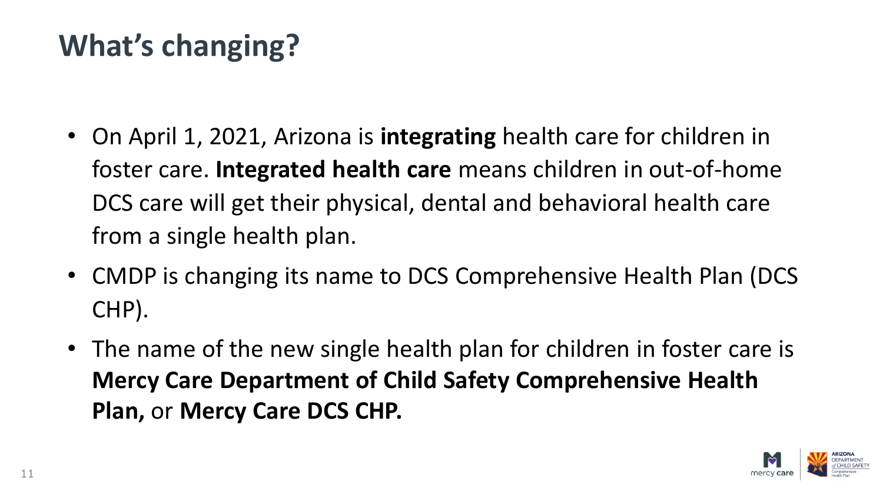# **What's changing?**

- On April 1, 2021, Arizona is **integrating** health care for children in foster care. **Integrated health care** means children in out-of-home DCS care will get their physical, dental and behavioral health care from a single health plan.
- CMDP is changing its name to DCS Comprehensive Health Plan (DCS CHP).
- The name of the new single health plan for children in foster care is **Mercy Care Department of Child Safety Comprehensive Health Plan,** or **Mercy Care DCS CHP.**

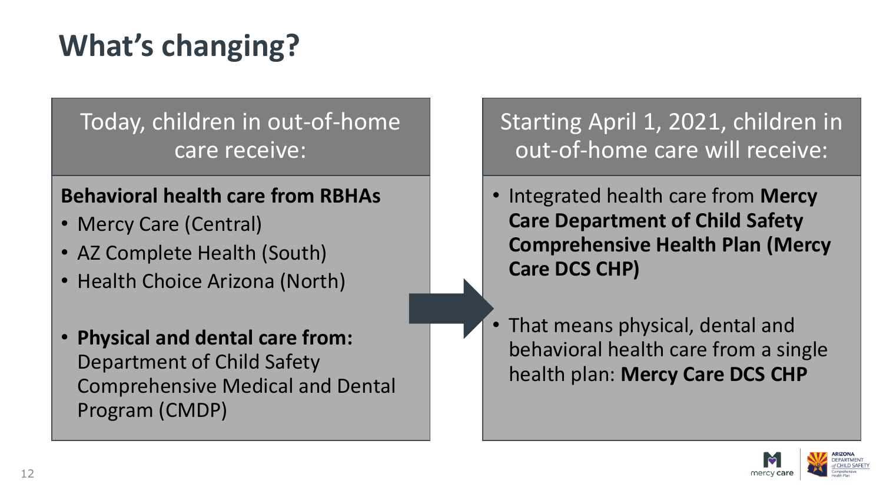# **What's changing?**

#### Today, children in out-of-home care receive:

#### **Behavioral health care from RBHAs**

- Mercy Care (Central)
- AZ Complete Health (South)
- Health Choice Arizona (North)
- **Physical and dental care from:**  Department of Child Safety Comprehensive Medical and Dental Program (CMDP)

Starting April 1, 2021, children in out-of-home care will receive:

- Integrated health care from **Mercy Care Department of Child Safety Comprehensive Health Plan (Mercy Care DCS CHP)**
- That means physical, dental and behavioral health care from a single health plan: **Mercy Care DCS CHP**

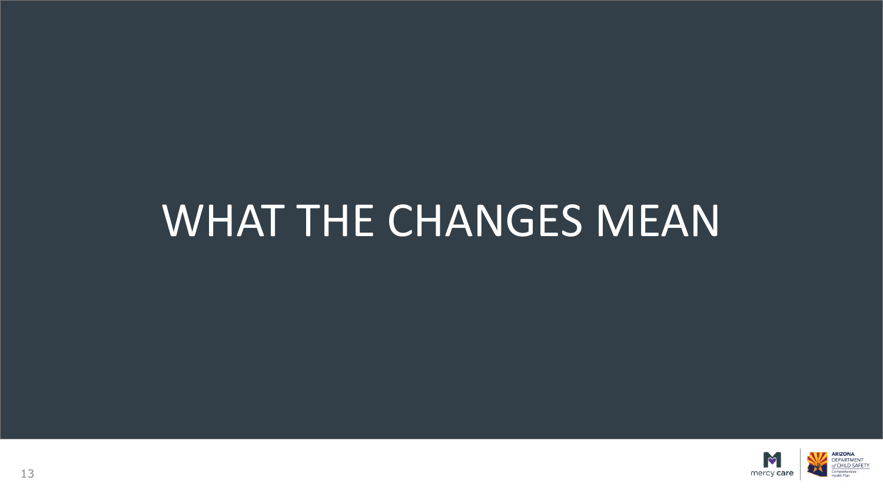# WHAT THE CHANGES MEAN

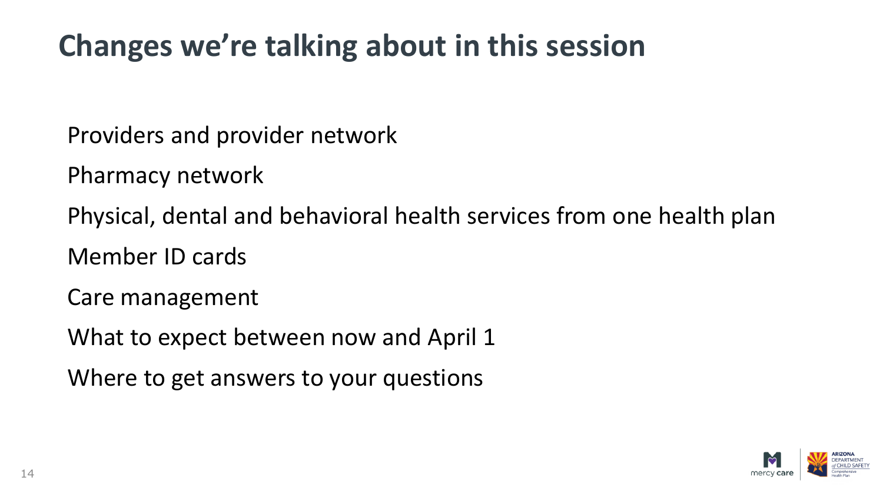## **Changes we're talking about in this session**

Providers and provider network

Pharmacy network

Physical, dental and behavioral health services from one health plan

Member ID cards

Care management

What to expect between now and April 1

Where to get answers to your questions

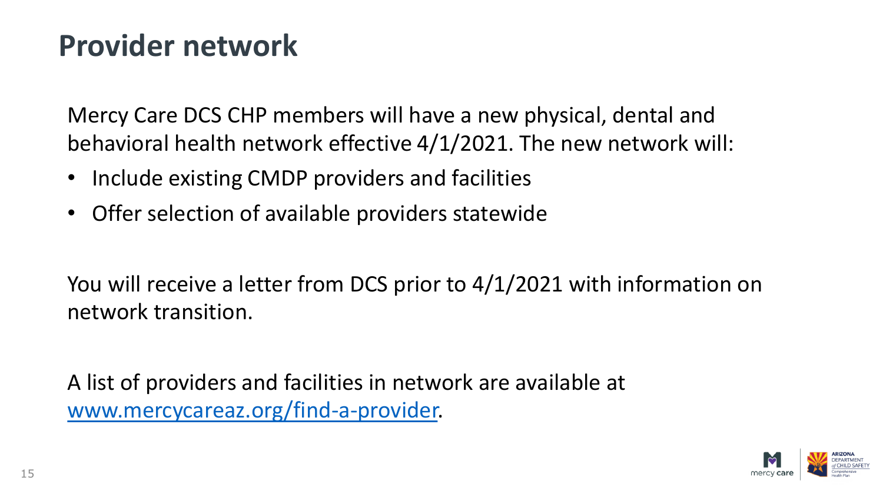#### **Provider network**

Mercy Care DCS CHP members will have a new physical, dental and behavioral health network effective 4/1/2021. The new network will:

- Include existing CMDP providers and facilities
- Offer selection of available providers statewide

You will receive a letter from DCS prior to 4/1/2021 with information on network transition.

A list of providers and facilities in network are available at [www.mercycareaz.org/find-a-provider.](http://www.mercycareaz.org/find-a-provider)

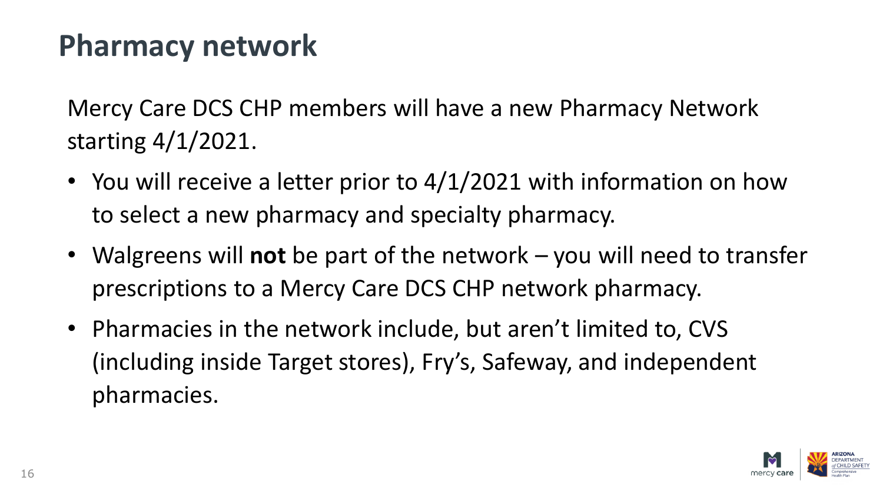#### **Pharmacy network**

Mercy Care DCS CHP members will have a new Pharmacy Network starting 4/1/2021.

- You will receive a letter prior to 4/1/2021 with information on how to select a new pharmacy and specialty pharmacy.
- Walgreens will **not** be part of the network you will need to transfer prescriptions to a Mercy Care DCS CHP network pharmacy.
- Pharmacies in the network include, but aren't limited to, CVS (including inside Target stores), Fry's, Safeway, and independent pharmacies.

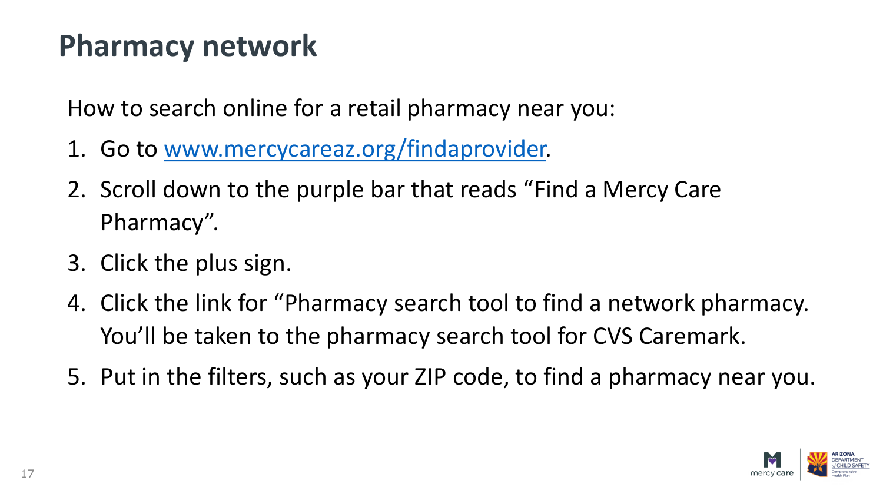#### **Pharmacy network**

How to search online for a retail pharmacy near you:

- 1. Go to [www.mercycareaz.org/findaprovider.](http://www.mercycareaz.org/findaprovider)
- 2. Scroll down to the purple bar that reads "Find a Mercy Care Pharmacy".
- 3. Click the plus sign.
- 4. Click the link for "Pharmacy search tool to find a network pharmacy. You'll be taken to the pharmacy search tool for CVS Caremark.
- 5. Put in the filters, such as your ZIP code, to find a pharmacy near you.

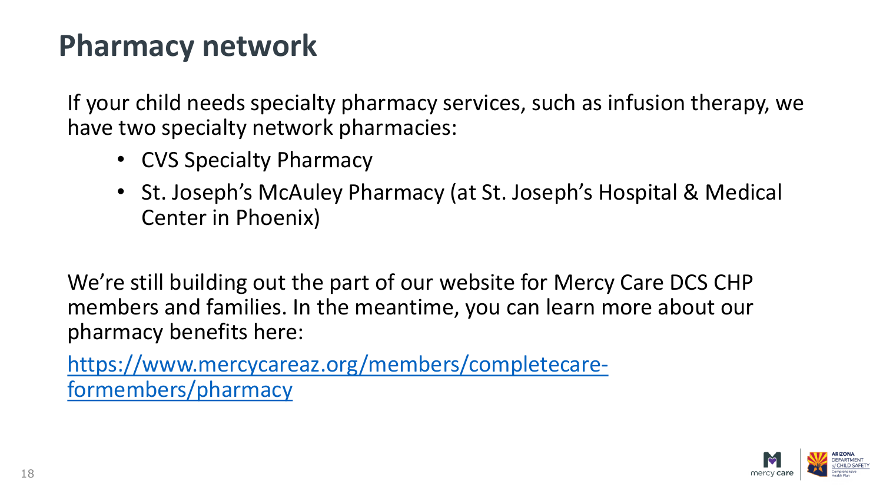#### **Pharmacy network**

If your child needs specialty pharmacy services, such as infusion therapy, we have two specialty network pharmacies:

- CVS Specialty Pharmacy
- St. Joseph's McAuley Pharmacy (at St. Joseph's Hospital & Medical Center in Phoenix)

We're still building out the part of our website for Mercy Care DCS CHP members and families. In the meantime, you can learn more about our pharmacy benefits here:

[https://www.mercycareaz.org/members/completecare](https://www.mercycareaz.org/members/completecare-formembers/pharmacy)formembers/pharmacy

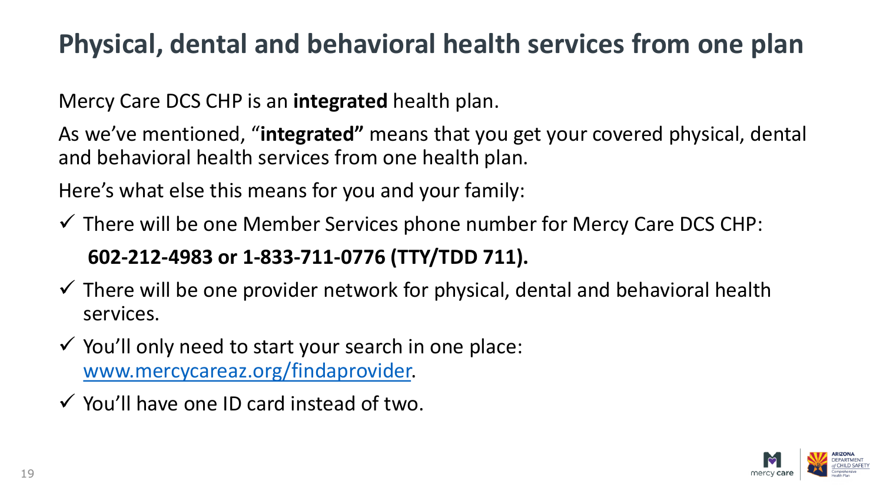#### **Physical, dental and behavioral health services from one plan**

Mercy Care DCS CHP is an **integrated** health plan.

As we've mentioned, "**integrated"** means that you get your covered physical, dental and behavioral health services from one health plan.

Here's what else this means for you and your family:

 $\checkmark$  There will be one Member Services phone number for Mercy Care DCS CHP: **602-212-4983 or 1-833-711-0776 (TTY/TDD 711).**

- $\checkmark$  There will be one provider network for physical, dental and behavioral health services.
- $\checkmark$  You'll only need to start your search in one place: [www.mercycareaz.org/findaprovider.](http://www.mercycareaz.org/findaprovider)
- $\checkmark$  You'll have one ID card instead of two.

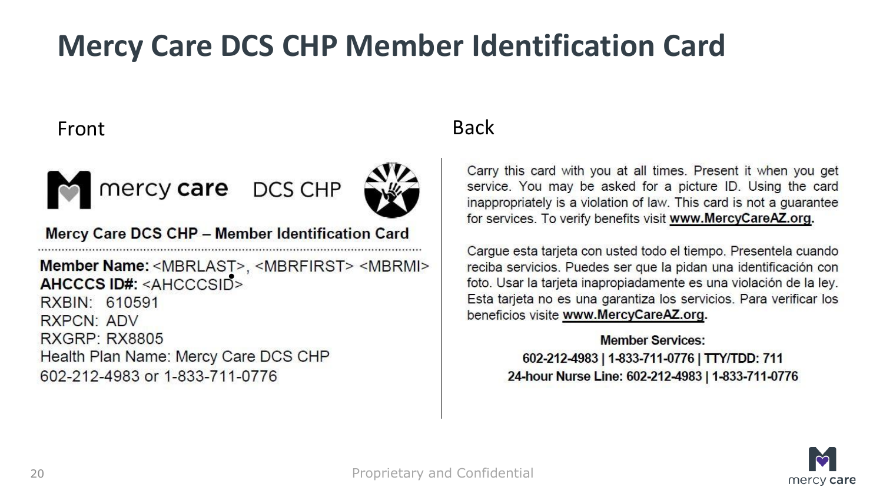### **Mercy Care DCS CHP Member Identification Card**

#### Front Back



Mercy care DCS CHP

Mercy Care DCS CHP - Member Identification Card

Member Name: <MBRLAST>, <MBRFIRST> <MBRMI><br>AHCCCS ID#: <AHCCCSID> RXBIN: 610591 RXPCN: ADV **RXGRP: RX8805** Health Plan Name: Mercy Care DCS CHP 602-212-4983 or 1-833-711-0776

Carry this card with you at all times. Present it when you get service. You may be asked for a picture ID. Using the card inappropriately is a violation of law. This card is not a guarantee for services. To verify benefits visit www.MercyCareAZ.org.

Carque esta tarjeta con usted todo el tiempo. Presentela cuando reciba servicios. Puedes ser que la pidan una identificación con foto. Usar la tarjeta inapropiadamente es una violación de la ley. Esta tarjeta no es una garantiza los servicios. Para verificar los beneficios visite www.MercyCareAZ.org.

> **Member Services:** 602-212-4983 | 1-833-711-0776 | TTY/TDD: 711 24-hour Nurse Line: 602-212-4983 | 1-833-711-0776

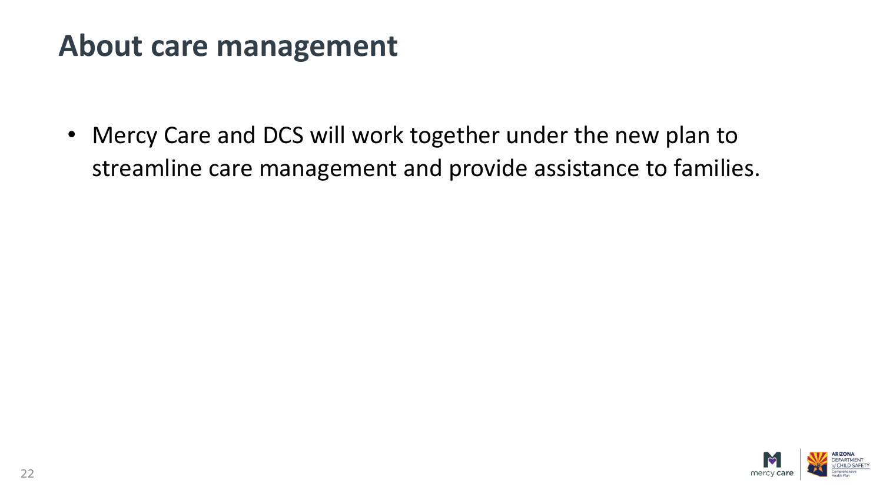#### **About care management**

• Mercy Care and DCS will work together under the new plan to streamline care management and provide assistance to families.

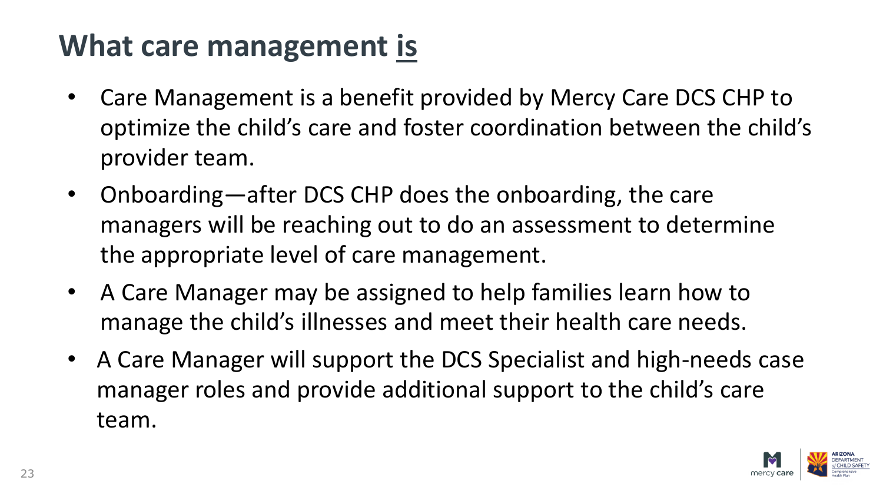### **What care management is**

- Care Management is a benefit provided by Mercy Care DCS CHP to optimize the child's care and foster coordination between the child's provider team.
- Onboarding—after DCS CHP does the onboarding, the care managers will be reaching out to do an assessment to determine the appropriate level of care management.
- A Care Manager may be assigned to help families learn how to manage the child's illnesses and meet their health care needs.
- A Care Manager will support the DCS Specialist and high-needs case manager roles and provide additional support to the child's care team.

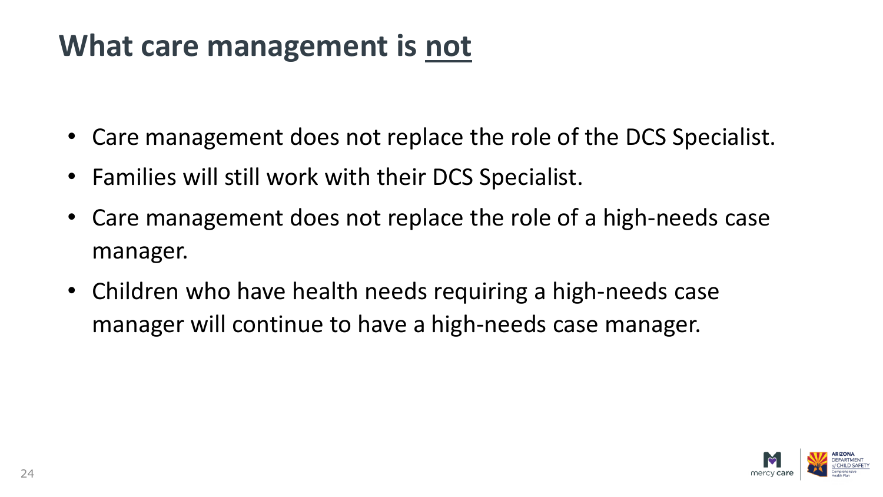#### **What care management is not**

- Care management does not replace the role of the DCS Specialist.
- Families will still work with their DCS Specialist.
- Care management does not replace the role of a high-needs case manager.
- Children who have health needs requiring a high-needs case manager will continue to have a high-needs case manager.

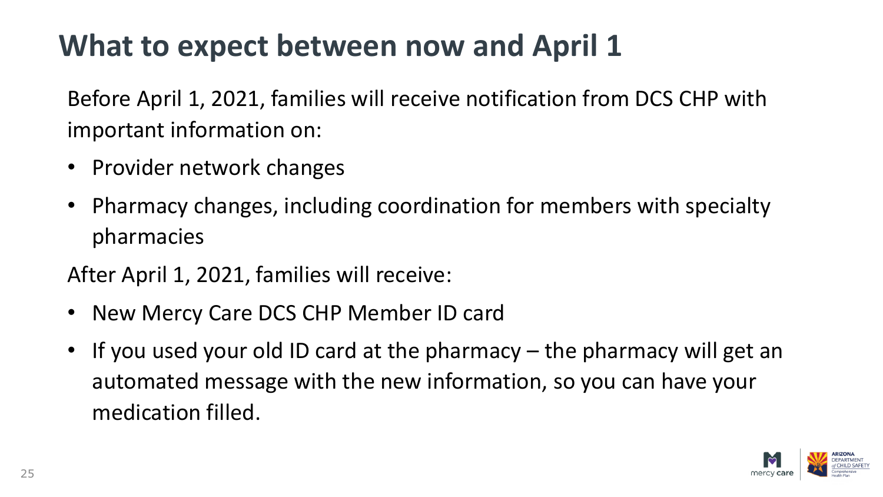## **What to expect between now and April 1**

Before April 1, 2021, families will receive notification from DCS CHP with important information on:

- Provider network changes
- Pharmacy changes, including coordination for members with specialty pharmacies

After April 1, 2021, families will receive:

- New Mercy Care DCS CHP Member ID card
- If you used your old ID card at the pharmacy the pharmacy will get an automated message with the new information, so you can have your medication filled.

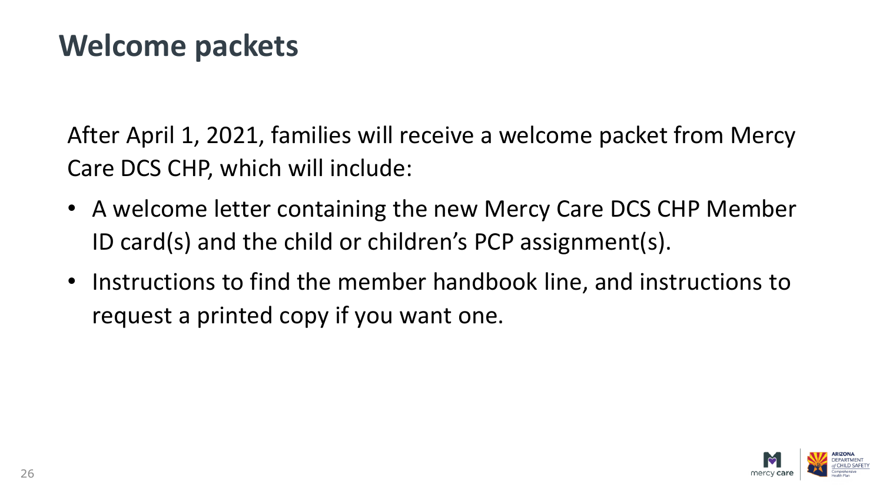#### **Welcome packets**

After April 1, 2021, families will receive a welcome packet from Mercy Care DCS CHP, which will include:

- A welcome letter containing the new Mercy Care DCS CHP Member ID card(s) and the child or children's PCP assignment(s).
- Instructions to find the member handbook line, and instructions to request a printed copy if you want one.

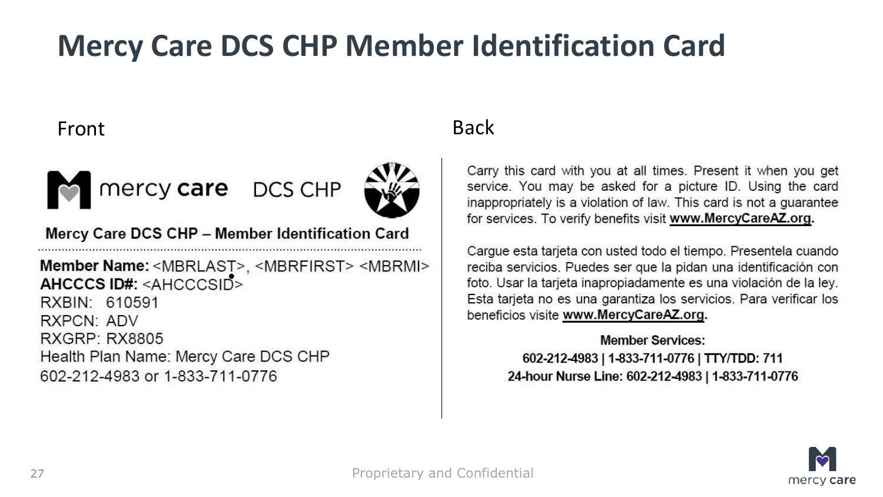### **Mercy Care DCS CHP Member Identification Card**

#### Front Back



Mercy care DCS CHP

Mercy Care DCS CHP - Member Identification Card

Member Name: <MBRLAST>, <MBRFIRST> <MBRMI><br>AHCCCS ID#: <AHCCCSID> RXBIN: 610591 RXPCN: ADV **RXGRP: RX8805** Health Plan Name: Mercy Care DCS CHP 602-212-4983 or 1-833-711-0776

Carry this card with you at all times. Present it when you get service. You may be asked for a picture ID. Using the card inappropriately is a violation of law. This card is not a guarantee for services. To verify benefits visit www.MercyCareAZ.org.

Carque esta tarjeta con usted todo el tiempo. Presentela cuando reciba servicios. Puedes ser que la pidan una identificación con foto. Usar la tarjeta inapropiadamente es una violación de la ley. Esta tarjeta no es una garantiza los servicios. Para verificar los beneficios visite www.MercyCareAZ.org.

> **Member Services:** 602-212-4983 | 1-833-711-0776 | TTY/TDD: 711 24-hour Nurse Line: 602-212-4983 | 1-833-711-0776

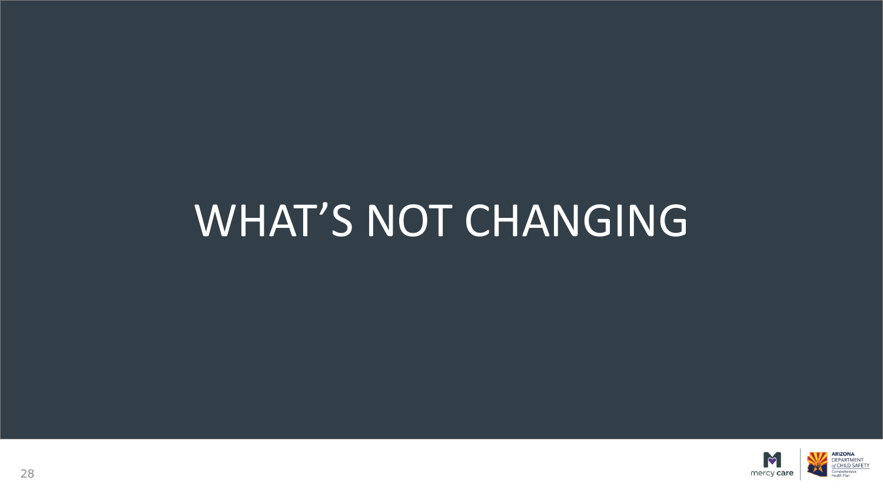# WHAT'S NOT CHANGING

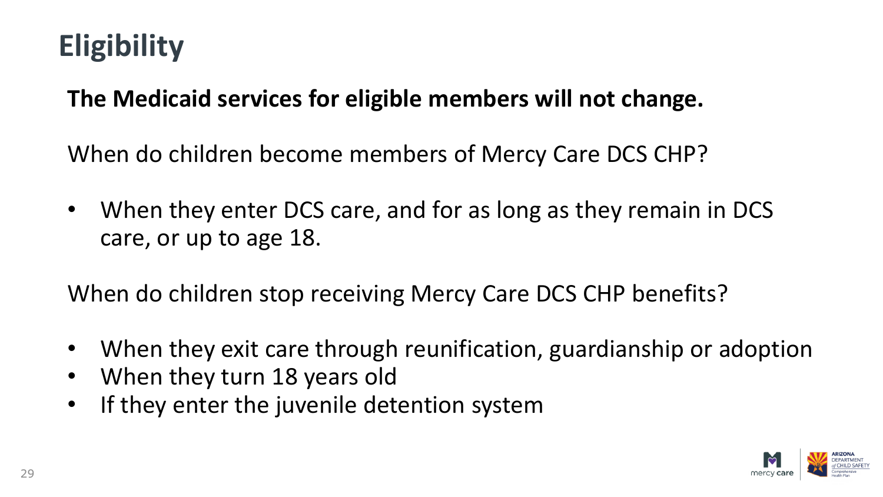# **Eligibility**

#### **The Medicaid services for eligible members will not change.**

When do children become members of Mercy Care DCS CHP?

• When they enter DCS care, and for as long as they remain in DCS care, or up to age 18.

When do children stop receiving Mercy Care DCS CHP benefits?

- When they exit care through reunification, guardianship or adoption
- When they turn 18 years old
- If they enter the juvenile detention system

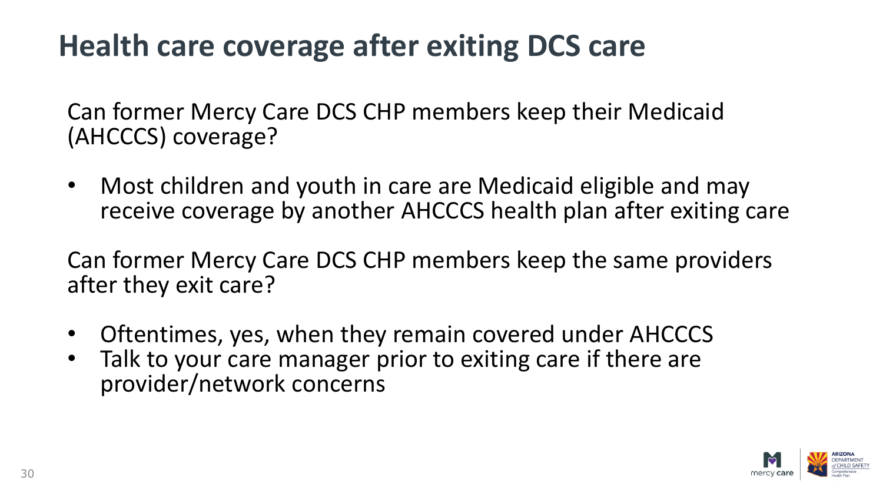## **Health care coverage after exiting DCS care**

Can former Mercy Care DCS CHP members keep their Medicaid (AHCCCS) coverage?

• Most children and youth in care are Medicaid eligible and may receive coverage by another AHCCCS health plan after exiting care

Can former Mercy Care DCS CHP members keep the same providers after they exit care?

- Oftentimes, yes, when they remain covered under AHCCCS
- Talk to your care manager prior to exiting care if there are provider/network concerns

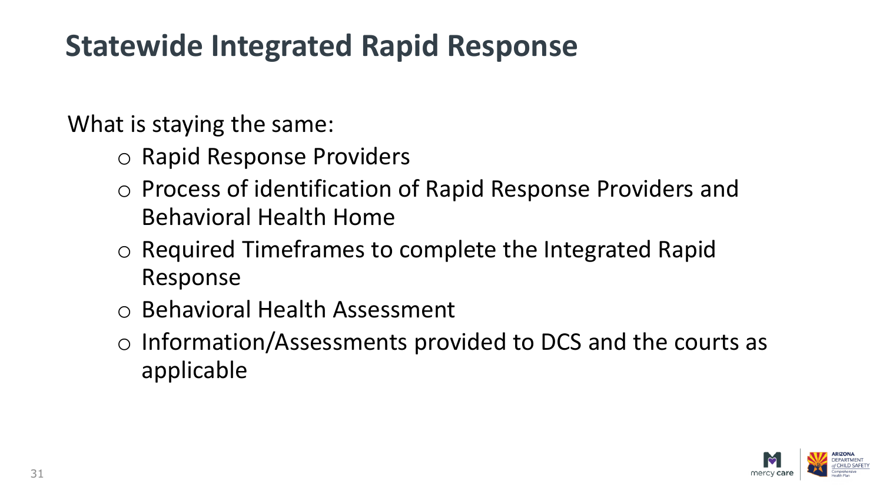#### **Statewide Integrated Rapid Response**

What is staying the same:

- o Rapid Response Providers
- o Process of identification of Rapid Response Providers and Behavioral Health Home
- o Required Timeframes to complete the Integrated Rapid Response
- o Behavioral Health Assessment
- o Information/Assessments provided to DCS and the courts as applicable

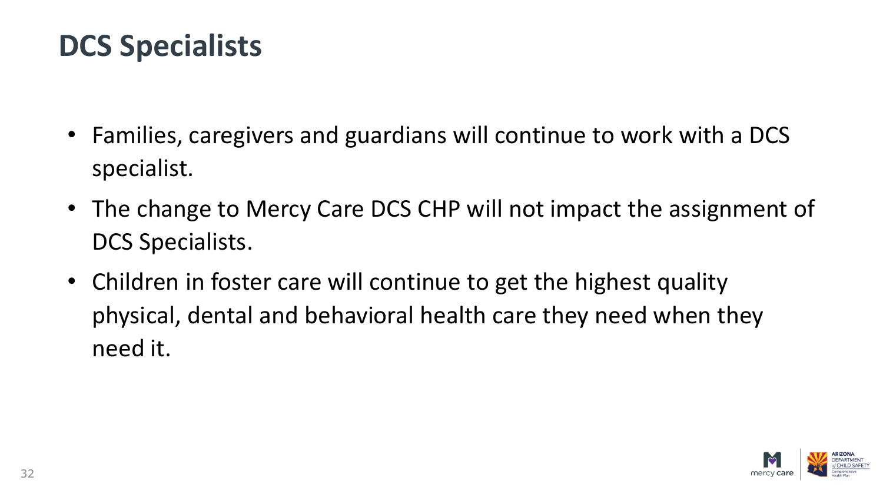#### **DCS Specialists**

- Families, caregivers and guardians will continue to work with a DCS specialist.
- The change to Mercy Care DCS CHP will not impact the assignment of DCS Specialists.
- Children in foster care will continue to get the highest quality physical, dental and behavioral health care they need when they need it.

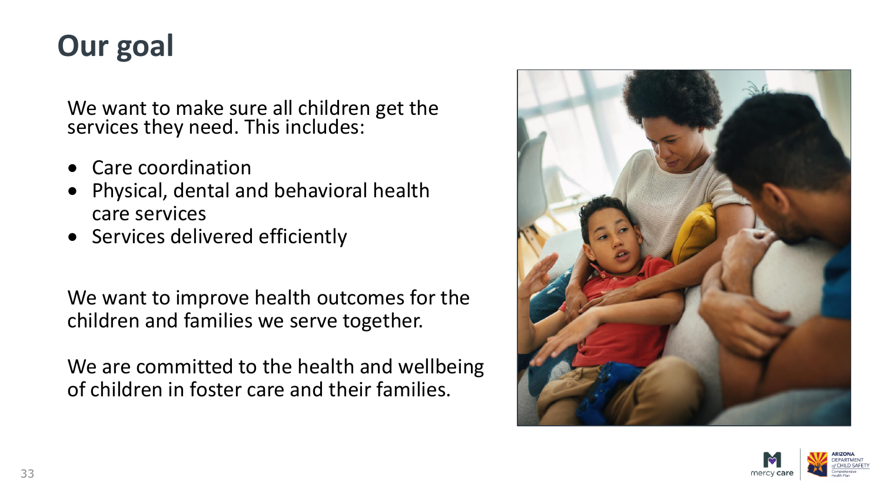## **Our goal**

We want to make sure all children get the services they need. This includes:

- Care coordination
- Physical, dental and behavioral health care services
- Services delivered efficiently

We want to improve health outcomes for the children and families we serve together.

We are committed to the health and wellbeing of children in foster care and their families.



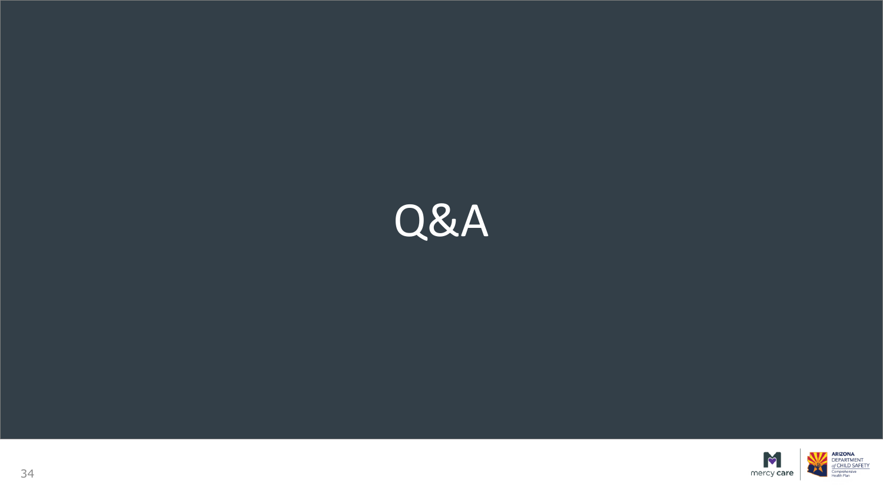

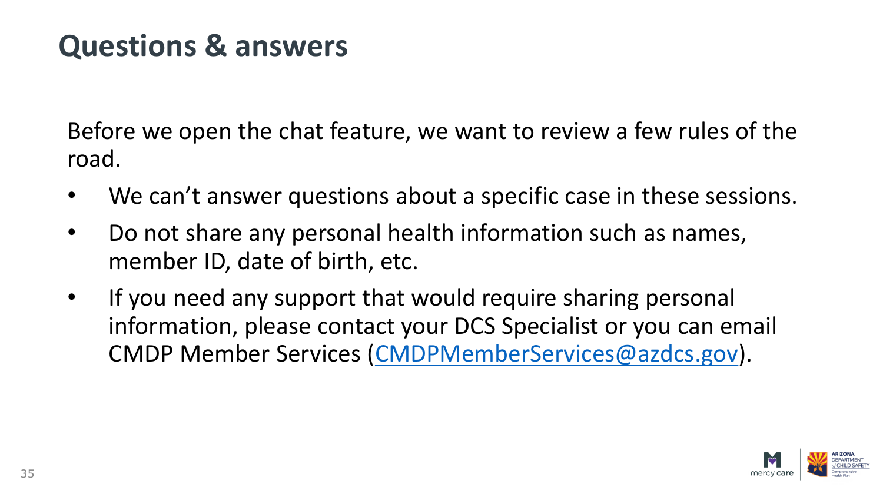#### **Questions & answers**

Before we open the chat feature, we want to review a few rules of the road.

- We can't answer questions about a specific case in these sessions.
- Do not share any personal health information such as names, member ID, date of birth, etc.
- If you need any support that would require sharing personal information, please contact your DCS Specialist or you can email CMDP Member Services ([CMDPMemberServices@azdcs.gov\)](mailto:CMDPMemberServices@azdcs.gov).

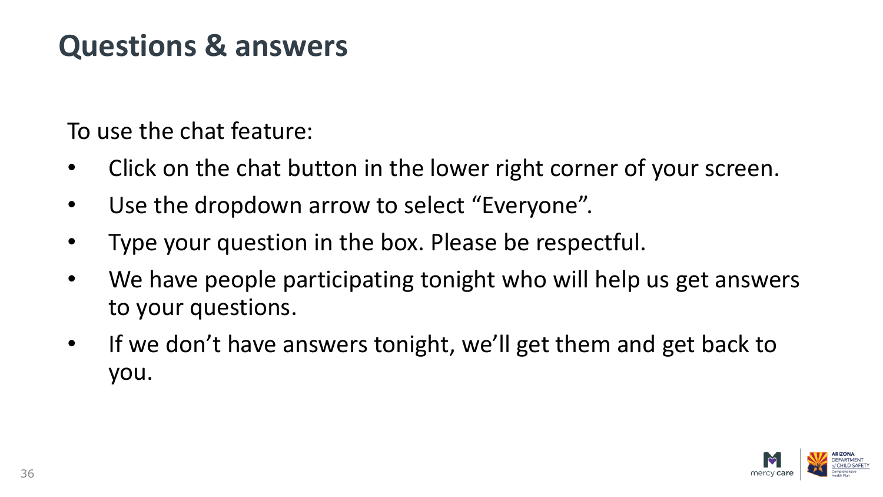#### **Questions & answers**

To use the chat feature:

- Click on the chat button in the lower right corner of your screen.
- Use the dropdown arrow to select "Everyone".
- Type your question in the box. Please be respectful.
- We have people participating tonight who will help us get answers to your questions.
- If we don't have answers tonight, we'll get them and get back to you.

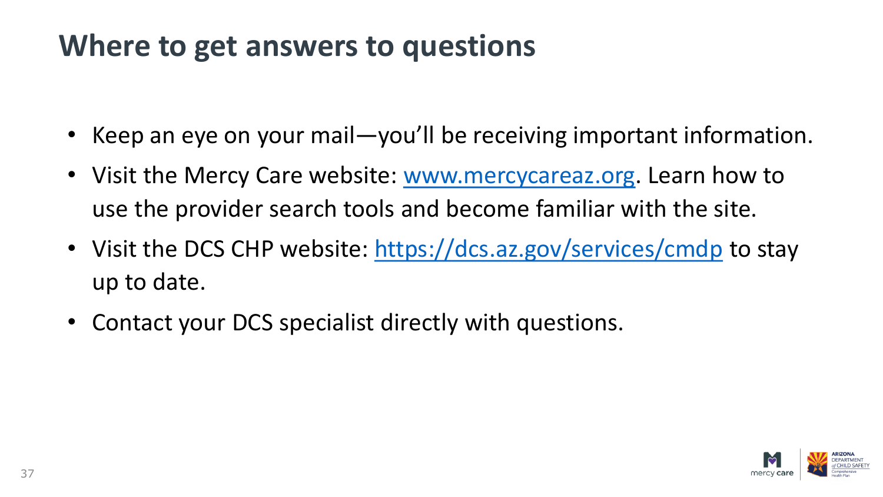#### **Where to get answers to questions**

- Keep an eye on your mail—you'll be receiving important information.
- Visit the Mercy Care website: [www.mercycareaz.org](http://www.mercycareaz.org/). Learn how to use the provider search tools and become familiar with the site.
- Visit the DCS CHP website: <https://dcs.az.gov/services/cmdp> to stay up to date.
- Contact your DCS specialist directly with questions.

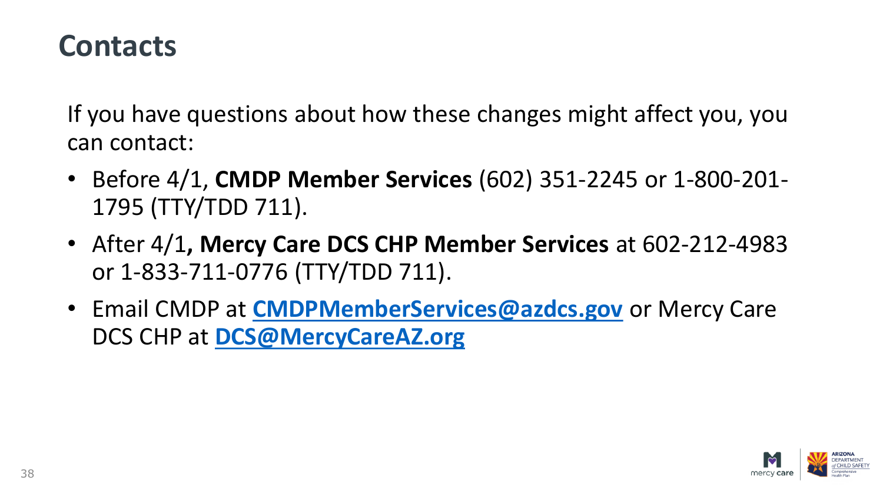#### **Contacts**

If you have questions about how these changes might affect you, you can contact:

- Before 4/1, **CMDP Member Services** (602) 351-2245 or 1-800-201- 1795 (TTY/TDD 711).
- After 4/1**, Mercy Care DCS CHP Member Services** at 602-212-4983 or 1-833-711-0776 (TTY/TDD 711).
- Email CMDP at **[CMDPMemberServices@azdcs.gov](mailto:CMDPMemberServices@azdcs.gov)** or Mercy Care DCS CHP at **[DCS@MercyCareAZ.org](mailto:DCS@MercyCareAZ.org)**

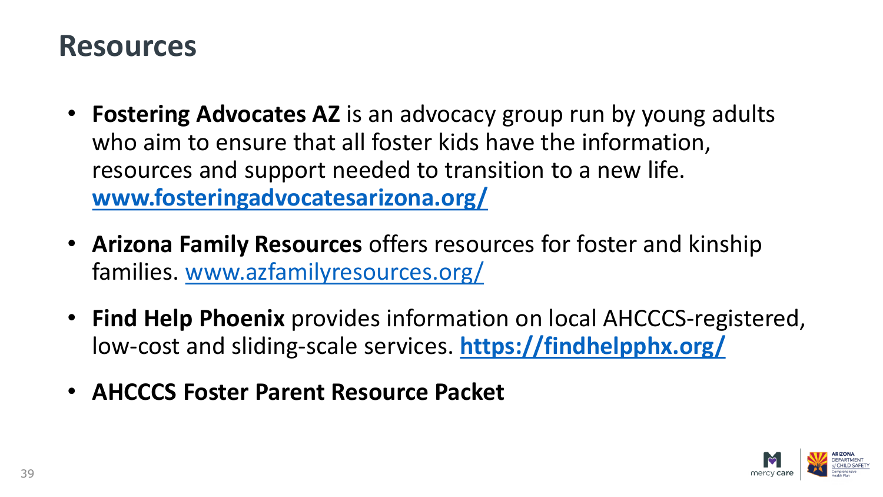#### **Resources**

- **Fostering Advocates AZ** is an advocacy group run by young adults who aim to ensure that all foster kids have the information, resources and support needed to transition to a new life. **[www.fosteringadvocatesarizona.org/](http://www.fosteringadvocatesarizona.org/)**
- **Arizona Family Resources** offers resources for foster and kinship families. [www.azfamilyresources.org/](http://www.azfamilyresources.org/)
- **Find Help Phoenix** provides information on local AHCCCS-registered, low-cost and sliding-scale services. **<https://findhelpphx.org/>**
- **AHCCCS Foster Parent Resource Packet**

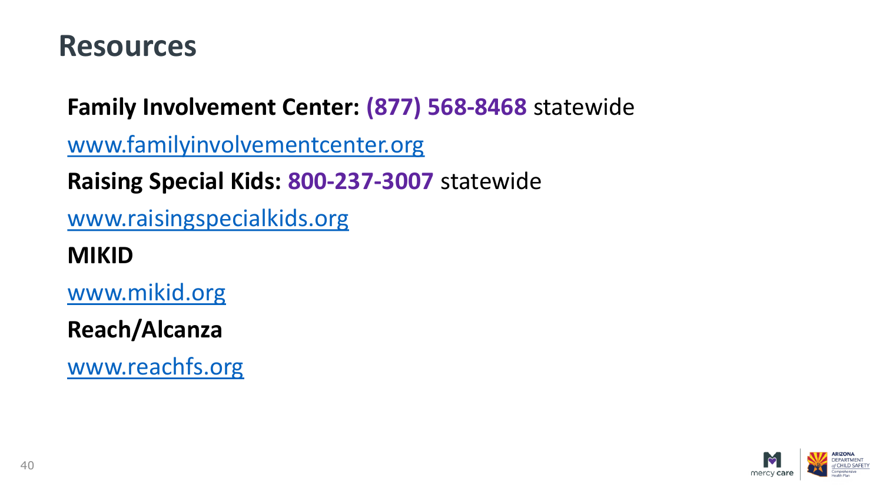#### **Resources**

**Family Involvement Center: (877) 568-8468** statewide

[www.familyinvolvementcenter.org](http://www.familyinvolvementcenter.org/)

**Raising Special Kids: 800-237-3007** statewide

[www.raisingspecialkids.org](http://www.raisingspecialkids.org/)

**MIKID**

[www.mikid.org](http://www.mikid.org/)

**Reach/Alcanza**

[www.reachfs.org](http://www.reachfs.org/)

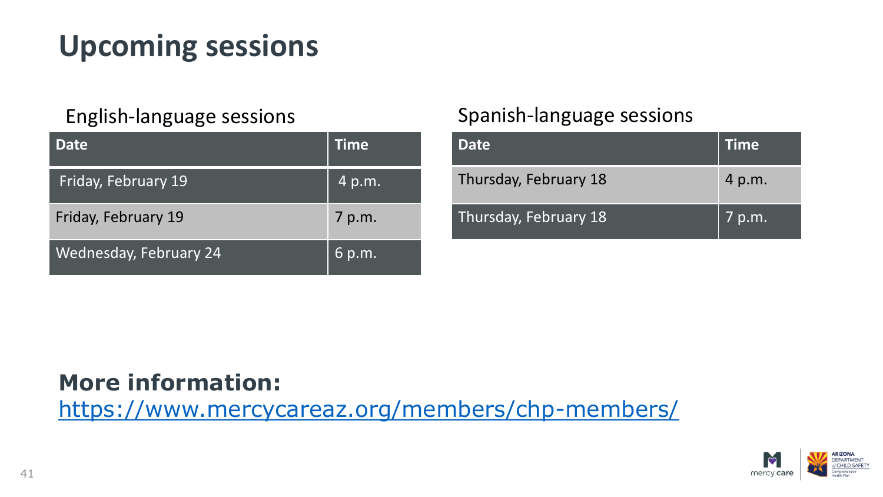## **Upcoming sessions**

| <b>Date</b>                   | Time   |
|-------------------------------|--------|
| Friday, February 19           | 4 p.m. |
| Friday, February 19           | 7 p.m. |
| <b>Wednesday, February 24</b> | 6 p.m. |

#### English-language sessions Spanish-language sessions

| <b>Date</b>           | <b>Time</b> |
|-----------------------|-------------|
| Thursday, February 18 | 4 p.m.      |
| Thursday, February 18 | 7 p.m.      |

#### **More information:**

<https://www.mercycareaz.org/members/chp-members/>